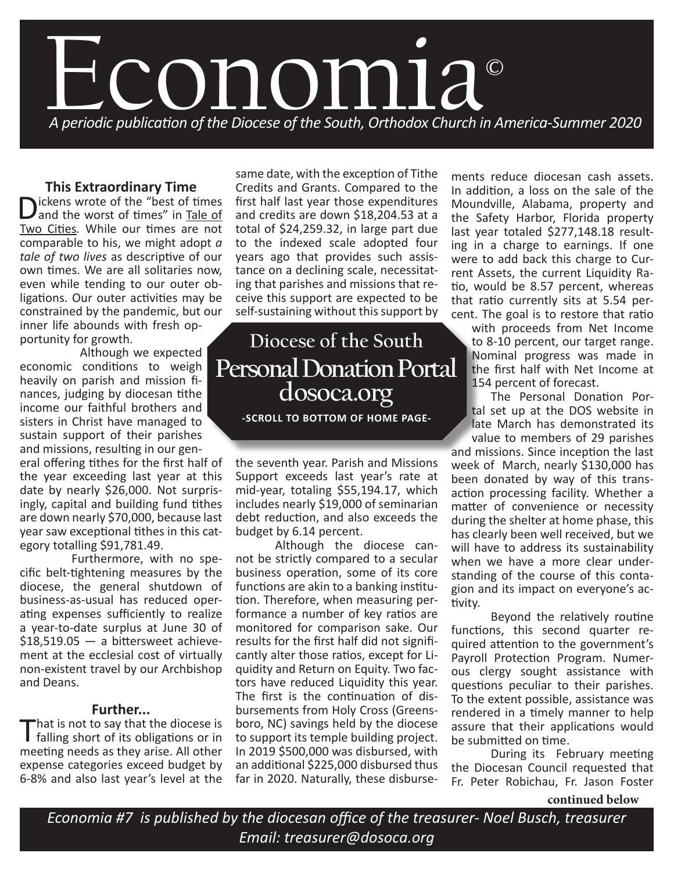

## **This Extraordinary Time**

Dickens wrote of the "best of times"<br>and the worst of times" in Tale of and the worst of times" in Tale of Two Cities*.* While our times are not comparable to his, we might adopt *a tale of two lives* as descriptive of our own times. We are all solitaries now, even while tending to our outer obligations. Our outer activities may be constrained by the pandemic, but our inner life abounds with fresh op-

portunity for growth.

 Although we expected economic conditions to weigh heavily on parish and mission finances, judging by diocesan tithe income our faithful brothers and sisters in Christ have managed to sustain support of their parishes and missions, resulting in our gen-

eral offering tithes for the first half of the year exceeding last year at this date by nearly \$26,000. Not surprisingly, capital and building fund tithes are down nearly \$70,000, because last year saw exceptional tithes in this category totalling \$91,781.49.

 Furthermore, with no specific belt-tightening measures by the diocese, the general shutdown of business-as-usual has reduced operating expenses sufficiently to realize a year-to-date surplus at June 30 of  $$18,519.05 - a$  bittersweet achievement at the ecclesial cost of virtually non-existent travel by our Archbishop and Deans.

### **Further...**

That is not to say that the diocese is<br>falling short of its obligations or in meeting needs as they arise. All other expense categories exceed budget by 6-8% and also last year's level at the

same date, with the exception of Tithe Credits and Grants. Compared to the first half last year those expenditures and credits are down \$18,204.53 at a total of \$24,259.32, in large part due to the indexed scale adopted four years ago that provides such assistance on a declining scale, necessitating that parishes and missions that receive this support are expected to be self-sustaining without this support by

# **Diocese of the South Personal Donation Portal dosoca.org**

**-SCROLL TO BOTTOM OF HOME PAGE-**

the seventh year. Parish and Missions Support exceeds last year's rate at mid-year, totaling \$55,194.17, which includes nearly \$19,000 of seminarian debt reduction, and also exceeds the budget by 6.14 percent.

Although the diocese cannot be strictly compared to a secular business operation, some of its core functions are akin to a banking institution. Therefore, when measuring performance a number of key ratios are monitored for comparison sake. Our results for the first half did not significantly alter those ratios, except for Liquidity and Return on Equity. Two factors have reduced Liquidity this year. The first is the continuation of disbursements from Holy Cross (Greensboro, NC) savings held by the diocese to support its temple building project. In 2019 \$500,000 was disbursed, with an additional \$225,000 disbursed thus far in 2020. Naturally, these disburse-

ments reduce diocesan cash assets. In addition, a loss on the sale of the Moundville, Alabama, property and the Safety Harbor, Florida property last year totaled \$277,148.18 resulting in a charge to earnings. If one were to add back this charge to Current Assets, the current Liquidity Ratio, would be 8.57 percent, whereas that ratio currently sits at 5.54 percent. The goal is to restore that ratio

with proceeds from Net Income to 8-10 percent, our target range. Nominal progress was made in the first half with Net Income at 154 percent of forecast.

The Personal Donation Portal set up at the DOS website in late March has demonstrated its value to members of 29 parishes

and missions. Since inception the last week of March, nearly \$130,000 has been donated by way of this transaction processing facility. Whether a matter of convenience or necessity during the shelter at home phase, this has clearly been well received, but we will have to address its sustainability when we have a more clear understanding of the course of this contagion and its impact on everyone's activity.

Beyond the relatively routine functions, this second quarter required attention to the government's Payroll Protection Program. Numerous clergy sought assistance with questions peculiar to their parishes. To the extent possible, assistance was rendered in a timely manner to help assure that their applications would be submitted on time.

During its February meeting the Diocesan Council requested that Fr. Peter Robichau, Fr. Jason Foster

**continued below**

*Economia #7 is published by the diocesan office of the treasurer- Noel Busch, treasurer Email: treasurer@dosoca.org*